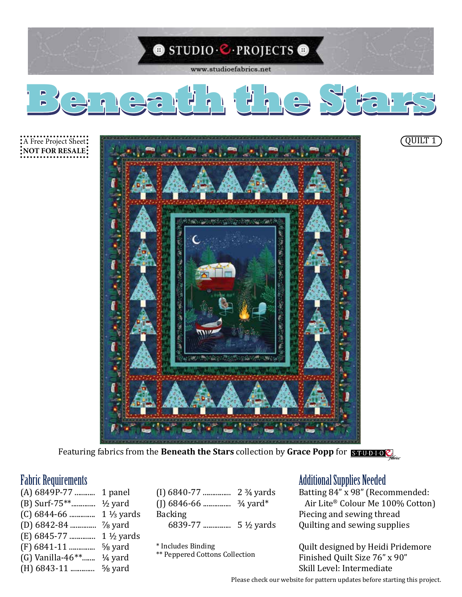

Featuring fabrics from the **Beneath the Stars** collection by **Grace Popp** for

(A) 6849P-77 ........... 1 panel (B) Surf-75\*\*............. ½ yard (C) 6844-66 .............. 1 ⅓ yards (D) 6842-84 .............. ⅞ yard (E) 6845-77 .............. 1 ½ yards (F) 6841-11 .............. ⅝ yard (G) Vanilla-46\*\*....... ¼ yard (H) 6843-11 ............. ⅝ yard

| $(I)$ 6840-77  | $2\frac{3}{4}$ yards |
|----------------|----------------------|
|                |                      |
| <b>Backing</b> |                      |
| 6839-77        | $5\frac{1}{2}$ yards |
|                |                      |

\* Includes Binding

\*\* Peppered Cottons Collection

# Fabric Requirements Additional Supplies Needed

Batting 84" x 98" (Recommended: Air Lite® Colour Me 100% Cotton) Piecing and sewing thread Quilting and sewing supplies

Quilt designed by Heidi Pridemore Finished Quilt Size 76" x 90" Skill Level: Intermediate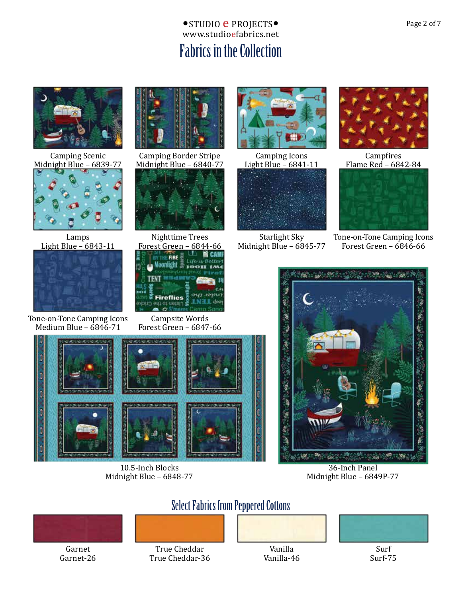# www.studioefabrics.net ● STUDIO **e** PROJECTS● Page 2 of 7 Fabrics in the Collection



Camping Scenic Midnight Blue – 6839-77



Lamps Light Blue – 6843-11



Tone-on-Tone Camping Icons Medium Blue – 6846-71



Camping Border Stripe Midnight Blue – 6840-77





Campsite Words Forest Green – 6847-66



10.5-Inch Blocks Midnight Blue – 6848-77



Camping Icons Light Blue – 6841-11



Starlight Sky Midnight Blue – 6845-77



Campfires Flame Red – 6842-84



Tone-on-Tone Camping Icons Forest Green – 6846-66



36-Inch Panel Midnight Blue – 6849P-77



Garnet Garnet-26

True Cheddar True Cheddar-36

Select Fabrics from Peppered Cottons

Vanilla

Vanilla-46



Surf-75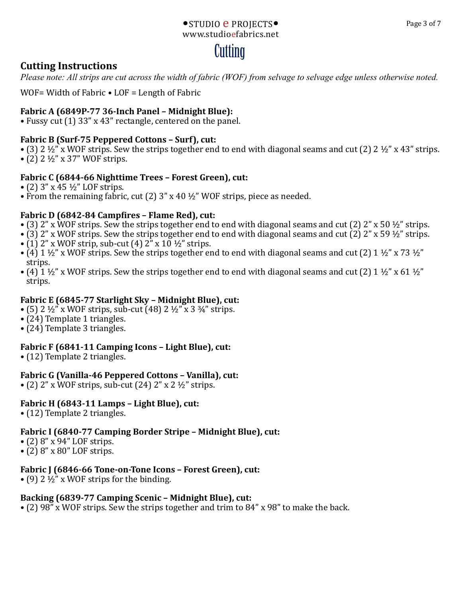#### www.studioefabrics.net •STUDIO **e** PROJECTS• Page 3 of 7

# **Cutting**

### **Cutting Instructions**

*Please note: All strips are cut across the width of fabric (WOF) from selvage to selvage edge unless otherwise noted.*

WOF= Width of Fabric • LOF = Length of Fabric

### **Fabric A (6849P-77 36-Inch Panel – Midnight Blue):**

• Fussy cut (1) 33" x 43" rectangle, centered on the panel.

#### **Fabric B (Surf-75 Peppered Cottons – Surf), cut:**

- (3) 2  $\frac{1}{2}$  x WOF strips. Sew the strips together end to end with diagonal seams and cut (2) 2  $\frac{1}{2}$  x 43" strips.
- (2) 2 ½" x 37" WOF strips.

#### **Fabric C (6844-66 Nighttime Trees – Forest Green), cut:**

- (2)  $3'' \times 45 \frac{1}{2}$  LOF strips.
- From the remaining fabric, cut (2)  $3''$  x 40  $\frac{1}{2}$  WOF strips, piece as needed.

#### **Fabric D (6842-84 Campfires – Flame Red), cut:**

- (3) 2" x WOF strips. Sew the strips together end to end with diagonal seams and cut (2) 2" x 50  $\frac{1}{2}$ " strips.
- (3) 2" x WOF strips. Sew the strips together end to end with diagonal seams and cut (2) 2" x 59  $\frac{1}{2}$ " strips.
- (1) 2" x WOF strip, sub-cut (4)  $2$ " x 10  $\frac{1}{2}$ " strips.
- (4) 1  $\frac{1}{2}$ " x WOF strips. Sew the strips together end to end with diagonal seams and cut (2) 1  $\frac{1}{2}$ " x 73  $\frac{1}{2}$ " strips.
- (4)  $1\frac{1}{2}$ " x WOF strips. Sew the strips together end to end with diagonal seams and cut (2)  $1\frac{1}{2}$ " x 61  $\frac{1}{2}$ " strips.

#### **Fabric E (6845-77 Starlight Sky – Midnight Blue), cut:**

- (5) 2  $\frac{1}{2}$  x WOF strips, sub-cut (48) 2  $\frac{1}{2}$  x 3  $\frac{3}{4}$  strips.
- (24) Template 1 triangles.
- (24) Template 3 triangles.

#### **Fabric F (6841-11 Camping Icons – Light Blue), cut:**

• (12) Template 2 triangles.

#### **Fabric G (Vanilla-46 Peppered Cottons – Vanilla), cut:**

• (2)  $2''$  x WOF strips, sub-cut (24)  $2''$  x 2  $\frac{1}{2}$  strips.

#### **Fabric H (6843-11 Lamps – Light Blue), cut:**

• (12) Template 2 triangles.

#### **Fabric I (6840-77 Camping Border Stripe – Midnight Blue), cut:**

- (2) 8" x 94" LOF strips.
- (2) 8" x 80" LOF strips.

#### **Fabric J (6846-66 Tone-on-Tone Icons – Forest Green), cut:**

• (9) 2  $\frac{1}{2}$ " x WOF strips for the binding.

#### **Backing (6839-77 Camping Scenic – Midnight Blue), cut:**

• (2) 98" x WOF strips. Sew the strips together and trim to 84" x 98" to make the back.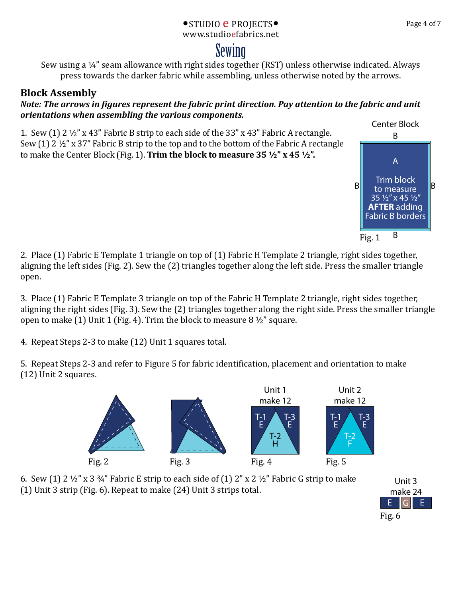#### www.studioefabrics.net • STUDIO **e** PROJECTS • Page 4 of 7

# Sewing

Sew using a ¼" seam allowance with right sides together (RST) unless otherwise indicated. Always press towards the darker fabric while assembling, unless otherwise noted by the arrows.

# **Block Assembly**

#### *Note: The arrows in figures represent the fabric print direction. Pay attention to the fabric and unit orientations when assembling the various components.*

1. Sew (1) 2 ½" x 43" Fabric B strip to each side of the 33" x 43" Fabric A rectangle. Sew (1) 2 ½" x 37" Fabric B strip to the top and to the bottom of the Fabric A rectangle to make the Center Block (Fig. 1). **Trim the block to measure 35 ½" x 45 ½".** 

2. Place (1) Fabric E Template 1 triangle on top of (1) Fabric H Template 2 triangle, right sides together, aligning the left sides (Fig. 2). Sew the (2) triangles together along the left side. Press the smaller triangle open.

3. Place (1) Fabric E Template 3 triangle on top of the Fabric H Template 2 triangle, right sides together, aligning the right sides (Fig. 3). Sew the (2) triangles together along the right side. Press the smaller triangle open to make (1) Unit 1 (Fig. 4). Trim the block to measure  $8\frac{1}{2}$ " square.

4. Repeat Steps 2-3 to make (12) Unit 1 squares total.

5. Repeat Steps 2-3 and refer to Figure 5 for fabric identification, placement and orientation to make (12) Unit 2 squares.







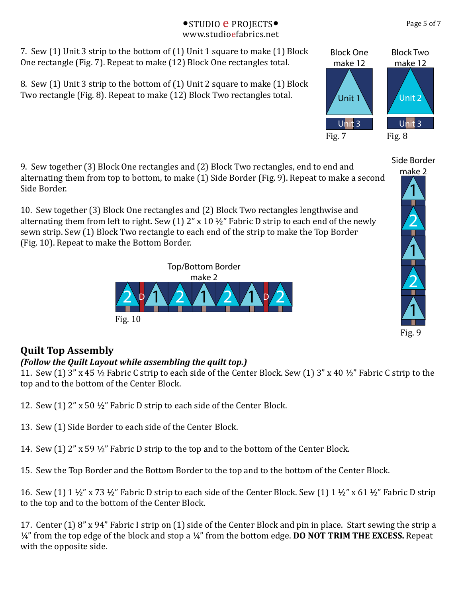#### www.studioefabrics.net •STUDIO **e** PROJECTS• Page 5 of 7

7. Sew (1) Unit 3 strip to the bottom of (1) Unit 1 square to make (1) Block One rectangle (Fig. 7). Repeat to make (12) Block One rectangles total.

8. Sew (1) Unit 3 strip to the bottom of (1) Unit 2 square to make (1) Block Two rectangle (Fig. 8). Repeat to make (12) Block Two rectangles total.

9. Sew together (3) Block One rectangles and (2) Block Two rectangles, end to end and alternating them from top to bottom, to make (1) Side Border (Fig. 9). Repeat to make a second Side Border.

10. Sew together (3) Block One rectangles and (2) Block Two rectangles lengthwise and alternating them from left to right. Sew  $(1)$  2" x 10  $\frac{1}{2}$ " Fabric D strip to each end of the newly sewn strip. Sew (1) Block Two rectangle to each end of the strip to make the Top Border (Fig. 10). Repeat to make the Bottom Border.

> Top/Bottom Border make 2

 $20/2$   $1/2$   $1/2$ 



# *(Follow the Quilt Layout while assembling the quilt top.)*

Fig. 10

11. Sew (1) 3" x 45 ½ Fabric C strip to each side of the Center Block. Sew (1) 3" x 40 ½" Fabric C strip to the top and to the bottom of the Center Block.

- 12. Sew (1) 2" x 50 ½" Fabric D strip to each side of the Center Block.
- 13. Sew (1) Side Border to each side of the Center Block.
- 14. Sew (1) 2" x 59 ½" Fabric D strip to the top and to the bottom of the Center Block.
- 15. Sew the Top Border and the Bottom Border to the top and to the bottom of the Center Block.

16. Sew (1) 1  $\frac{1}{2}$ " x 73  $\frac{1}{2}$ " Fabric D strip to each side of the Center Block. Sew (1) 1  $\frac{1}{2}$ " x 61  $\frac{1}{2}$ " Fabric D strip to the top and to the bottom of the Center Block.

17. Center (1) 8" x 94" Fabric I strip on (1) side of the Center Block and pin in place. Start sewing the strip a ¼" from the top edge of the block and stop a ¼" from the bottom edge. **DO NOT TRIM THE EXCESS.** Repeat with the opposite side.



Side Border

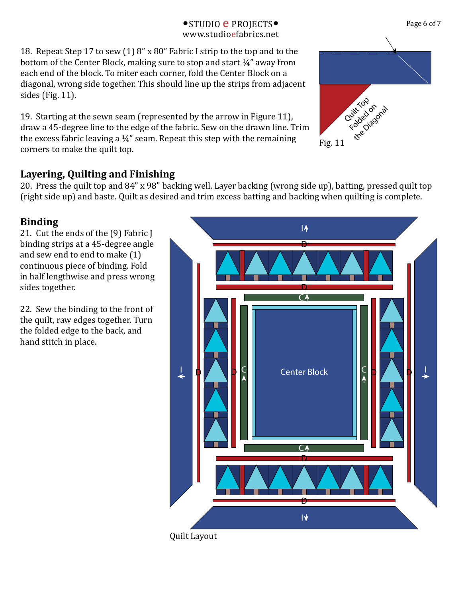#### www.studioefabrics.net •STUDIO **e** PROJECTS• Page 6 of 7

18. Repeat Step 17 to sew (1) 8" x 80" Fabric I strip to the top and to the bottom of the Center Block, making sure to stop and start  $\frac{1}{4}$ " away from each end of the block. To miter each corner, fold the Center Block on a diagonal, wrong side together. This should line up the strips from adjacent sides (Fig. 11).

19. Starting at the sewn seam (represented by the arrow in Figure 11), draw a 45-degree line to the edge of the fabric. Sew on the drawn line. Trim the excess fabric leaving a ¼" seam. Repeat this step with the remaining corners to make the quilt top.

# **Layering, Quilting and Finishing**

20. Press the quilt top and 84" x 98" backing well. Layer backing (wrong side up), batting, pressed quilt top (right side up) and baste. Quilt as desired and trim excess batting and backing when quilting is complete.

## **Binding**

21. Cut the ends of the (9) Fabric J binding strips at a 45-degree angle and sew end to end to make (1) continuous piece of binding. Fold in half lengthwise and press wrong sides together.

22. Sew the binding to the front of the quilt, raw edges together. Turn the folded edge to the back, and hand stitch in place.

Quilt Layout







Fig. 11

 $\overline{I}$